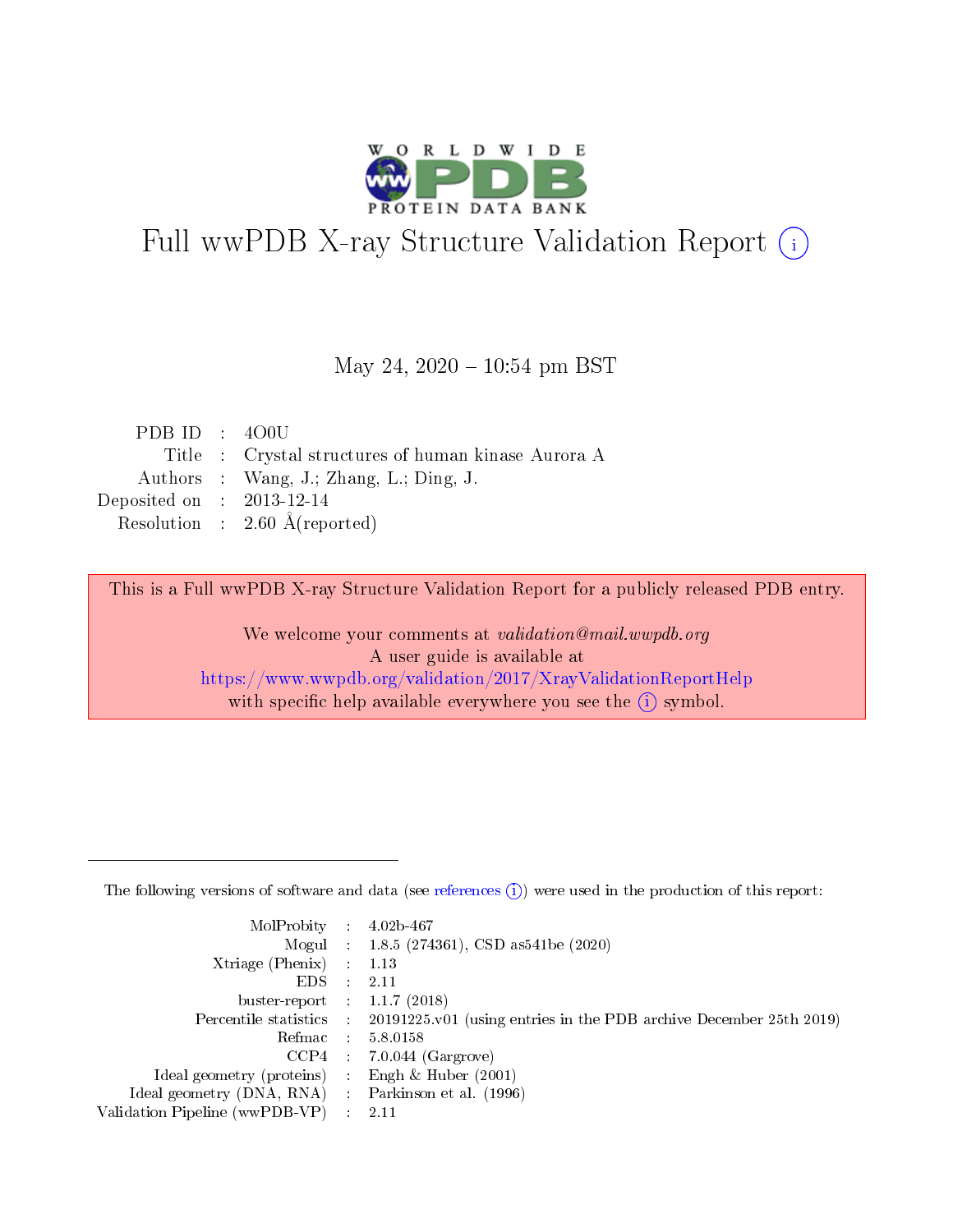

# Full wwPDB X-ray Structure Validation Report (i)

#### May 24,  $2020 - 10:54$  pm BST

| PDBID : 400U                |                                                     |
|-----------------------------|-----------------------------------------------------|
|                             | Title : Crystal structures of human kinase Aurora A |
|                             | Authors : Wang, J.; Zhang, L.; Ding, J.             |
| Deposited on : $2013-12-14$ |                                                     |
|                             | Resolution : $2.60 \text{ Å}$ (reported)            |

This is a Full wwPDB X-ray Structure Validation Report for a publicly released PDB entry.

We welcome your comments at validation@mail.wwpdb.org A user guide is available at <https://www.wwpdb.org/validation/2017/XrayValidationReportHelp> with specific help available everywhere you see the  $(i)$  symbol.

The following versions of software and data (see [references](https://www.wwpdb.org/validation/2017/XrayValidationReportHelp#references)  $(1)$ ) were used in the production of this report:

| MolProbity : 4.02b-467         |   |                                                                                              |
|--------------------------------|---|----------------------------------------------------------------------------------------------|
|                                |   | Mogul : 1.8.5 (274361), CSD as 541be (2020)                                                  |
| $X$ triage (Phenix) :          |   | 1.13                                                                                         |
| EDS.                           |   | 2.11                                                                                         |
| buster-report : $1.1.7$ (2018) |   |                                                                                              |
|                                |   | Percentile statistics : $20191225.v01$ (using entries in the PDB archive December 25th 2019) |
| Refmac :                       |   | 5.8.0158                                                                                     |
| CCP4                           |   | $7.0.044$ (Gargrove)                                                                         |
| Ideal geometry (proteins) :    |   | Engh $\&$ Huber (2001)                                                                       |
| Ideal geometry (DNA, RNA) :    |   | Parkinson et al. (1996)                                                                      |
| Validation Pipeline (wwPDB-VP) | ÷ | -2.11                                                                                        |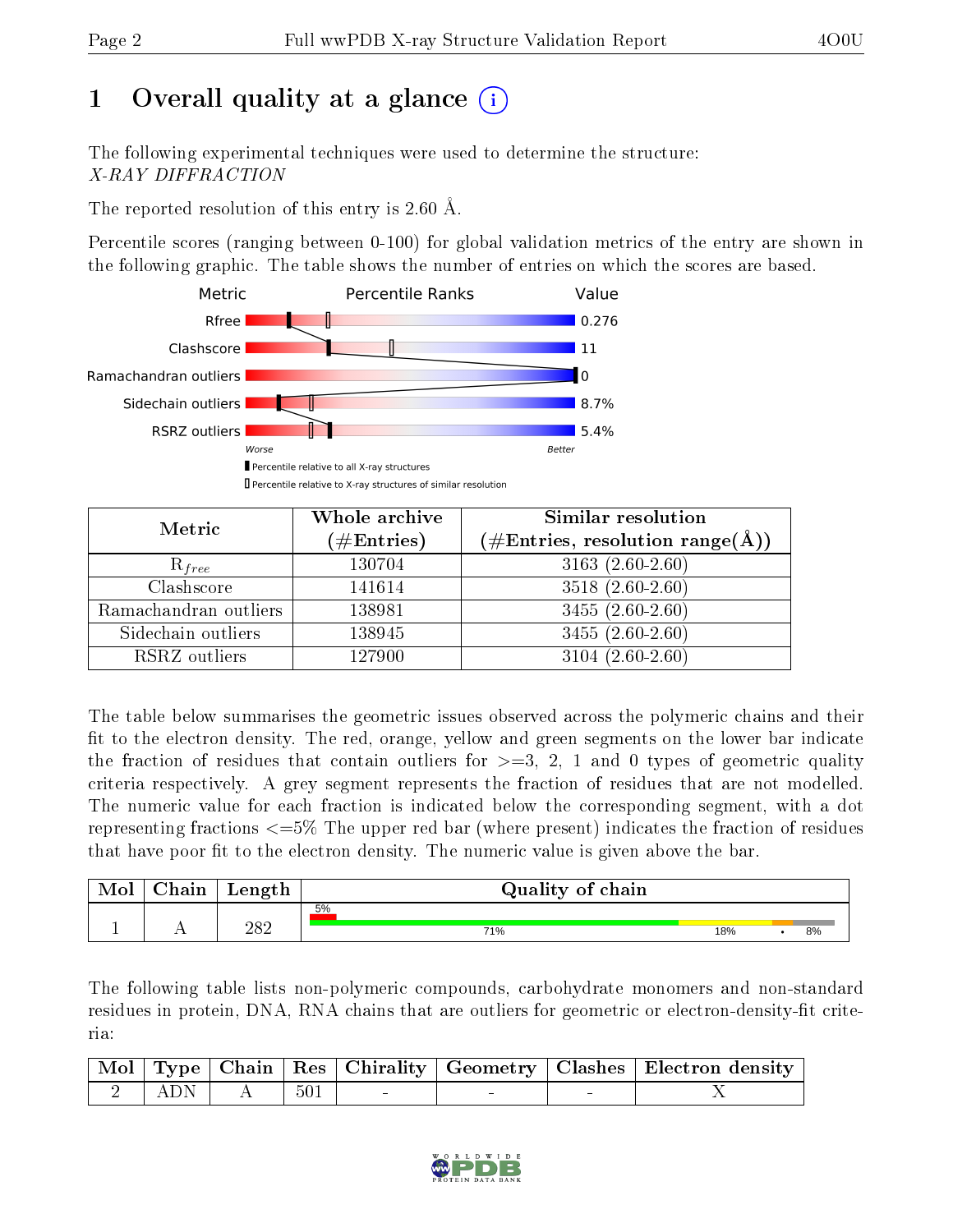# 1 [O](https://www.wwpdb.org/validation/2017/XrayValidationReportHelp#overall_quality)verall quality at a glance  $(i)$

The following experimental techniques were used to determine the structure: X-RAY DIFFRACTION

The reported resolution of this entry is 2.60 Å.

Percentile scores (ranging between 0-100) for global validation metrics of the entry are shown in the following graphic. The table shows the number of entries on which the scores are based.



| Metric                | Whole archive<br>$(\#\mathrm{Entries})$ | Similar resolution<br>$(\#\text{Entries},\, \text{resolution}\; \text{range}(\textup{\AA}))$ |
|-----------------------|-----------------------------------------|----------------------------------------------------------------------------------------------|
| $R_{free}$            | 130704                                  | $3163(2.60-2.60)$                                                                            |
| Clashscore            | 141614                                  | $3518(2.60-2.60)$                                                                            |
| Ramachandran outliers | 138981                                  | $3455(2.60-2.60)$                                                                            |
| Sidechain outliers    | 138945                                  | $3455(2.60-2.60)$                                                                            |
| RSRZ outliers         | 127900                                  | $3104(2.60-2.60)$                                                                            |

The table below summarises the geometric issues observed across the polymeric chains and their fit to the electron density. The red, orange, yellow and green segments on the lower bar indicate the fraction of residues that contain outliers for  $>=3, 2, 1$  and 0 types of geometric quality criteria respectively. A grey segment represents the fraction of residues that are not modelled. The numeric value for each fraction is indicated below the corresponding segment, with a dot representing fractions <=5% The upper red bar (where present) indicates the fraction of residues that have poor fit to the electron density. The numeric value is given above the bar.

| Mol | ${\bf Chain}$ | Length | Quality of chain |     |    |
|-----|---------------|--------|------------------|-----|----|
|     |               |        | 5%               |     |    |
|     |               | 282    | 71%              | 18% | 8% |

The following table lists non-polymeric compounds, carbohydrate monomers and non-standard residues in protein, DNA, RNA chains that are outliers for geometric or electron-density-fit criteria:

|                                                                    |        |                  |  | Mol   Type   Chain   Res   Chirality   Geometry   Clashes   Electron density |
|--------------------------------------------------------------------|--------|------------------|--|------------------------------------------------------------------------------|
| $\begin{array}{ c c c c c c } \hline 2 & ADN & \hline \end{array}$ | $AA$ l | $^{\prime}~~501$ |  |                                                                              |

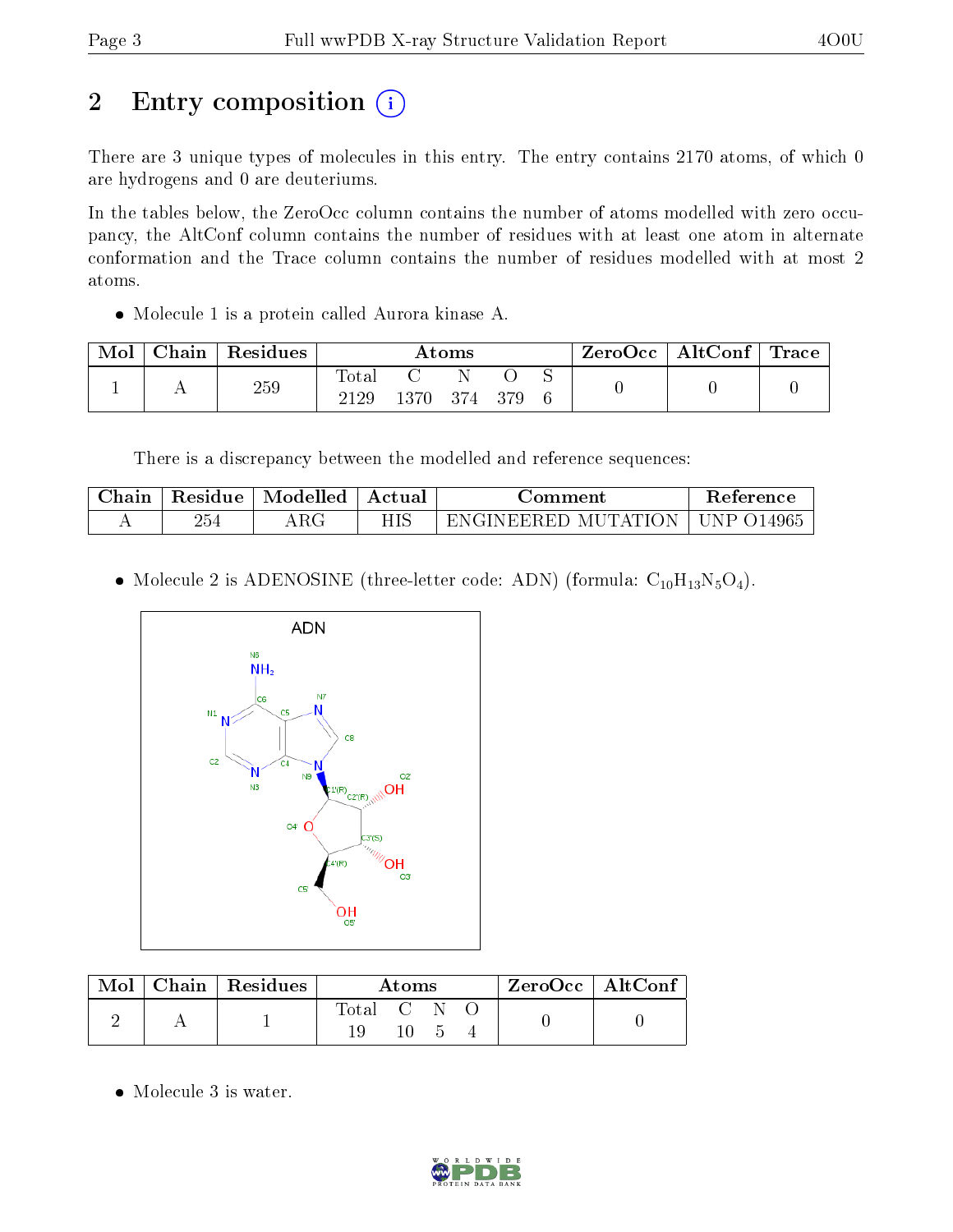# 2 Entry composition (i)

There are 3 unique types of molecules in this entry. The entry contains 2170 atoms, of which 0 are hydrogens and 0 are deuteriums.

In the tables below, the ZeroOcc column contains the number of atoms modelled with zero occupancy, the AltConf column contains the number of residues with at least one atom in alternate conformation and the Trace column contains the number of residues modelled with at most 2 atoms.

Molecule 1 is a protein called Aurora kinase A.

| Mol | Chain | Residues | Atoms |      |      | $\text{ZeroOcc} \mid \text{AltConf} \mid \text{Trace}$ |  |  |  |
|-----|-------|----------|-------|------|------|--------------------------------------------------------|--|--|--|
|     |       | 259      | Total |      |      |                                                        |  |  |  |
|     |       |          | 2129  | 1370 | -374 | 379                                                    |  |  |  |

There is a discrepancy between the modelled and reference sequences:

| Jhain | Residue | Modelled | Actual      | :omment                                     | teference   |
|-------|---------|----------|-------------|---------------------------------------------|-------------|
| . .   | 254     | 7777     | ите<br>111C | ١N<br>TAH<br>M L<br>1 L L<br>I F.F.R F.I ). | '490 C<br>◡ |

• Molecule 2 is ADENOSINE (three-letter code: ADN) (formula:  $C_{10}H_{13}N_5O_4$ ).



| $\operatorname{Mol}$ | Chain   Residues | Atoms     |    |  | $\rm ZeroOcc \mid AltConf$ |  |
|----------------------|------------------|-----------|----|--|----------------------------|--|
|                      |                  | Total C N |    |  |                            |  |
|                      |                  |           | 10 |  |                            |  |

• Molecule 3 is water.

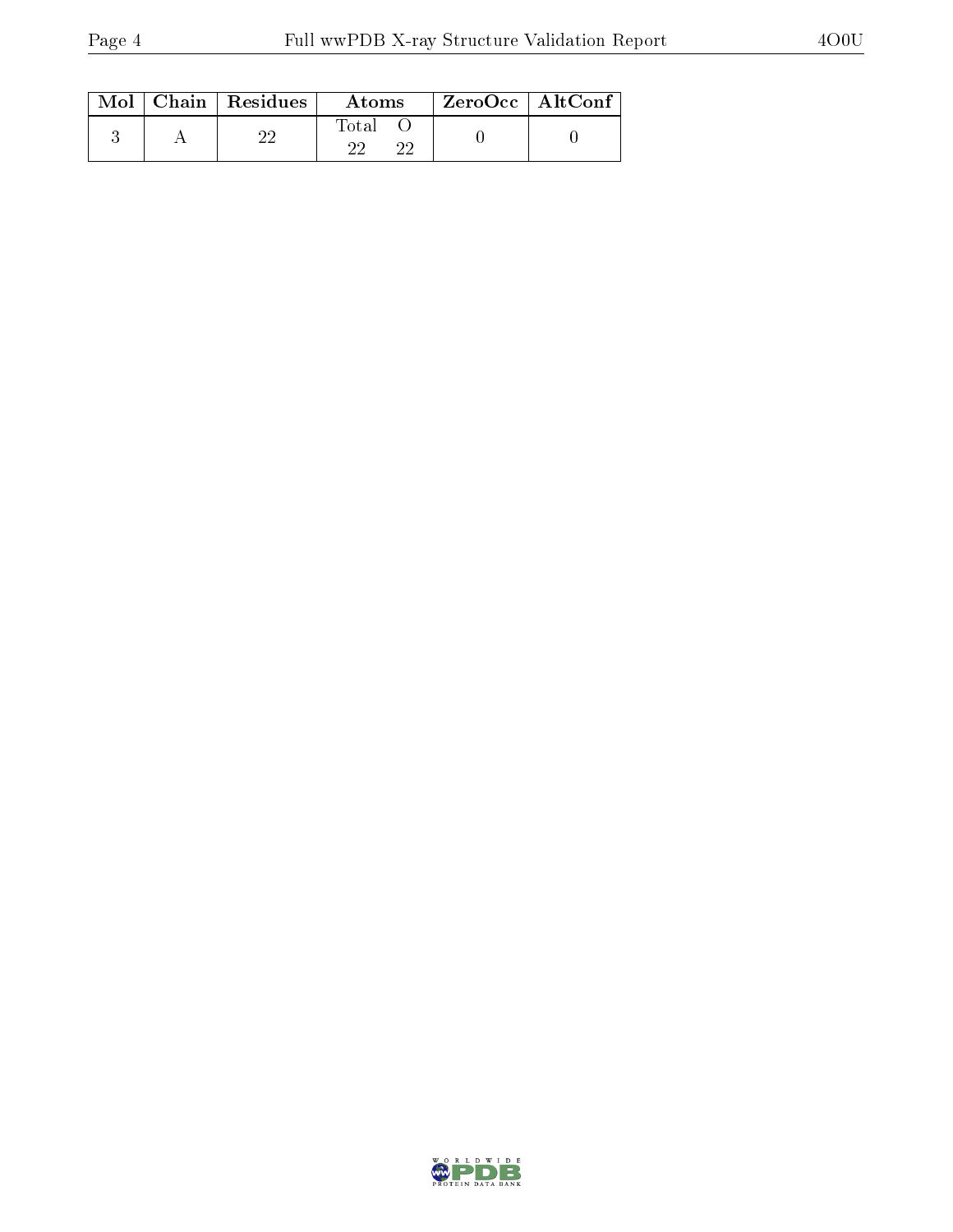|  | $Mol$   Chain   Residues | Atoms | $ZeroOcc \mid AltConf \mid$ |
|--|--------------------------|-------|-----------------------------|
|  |                          | Total |                             |

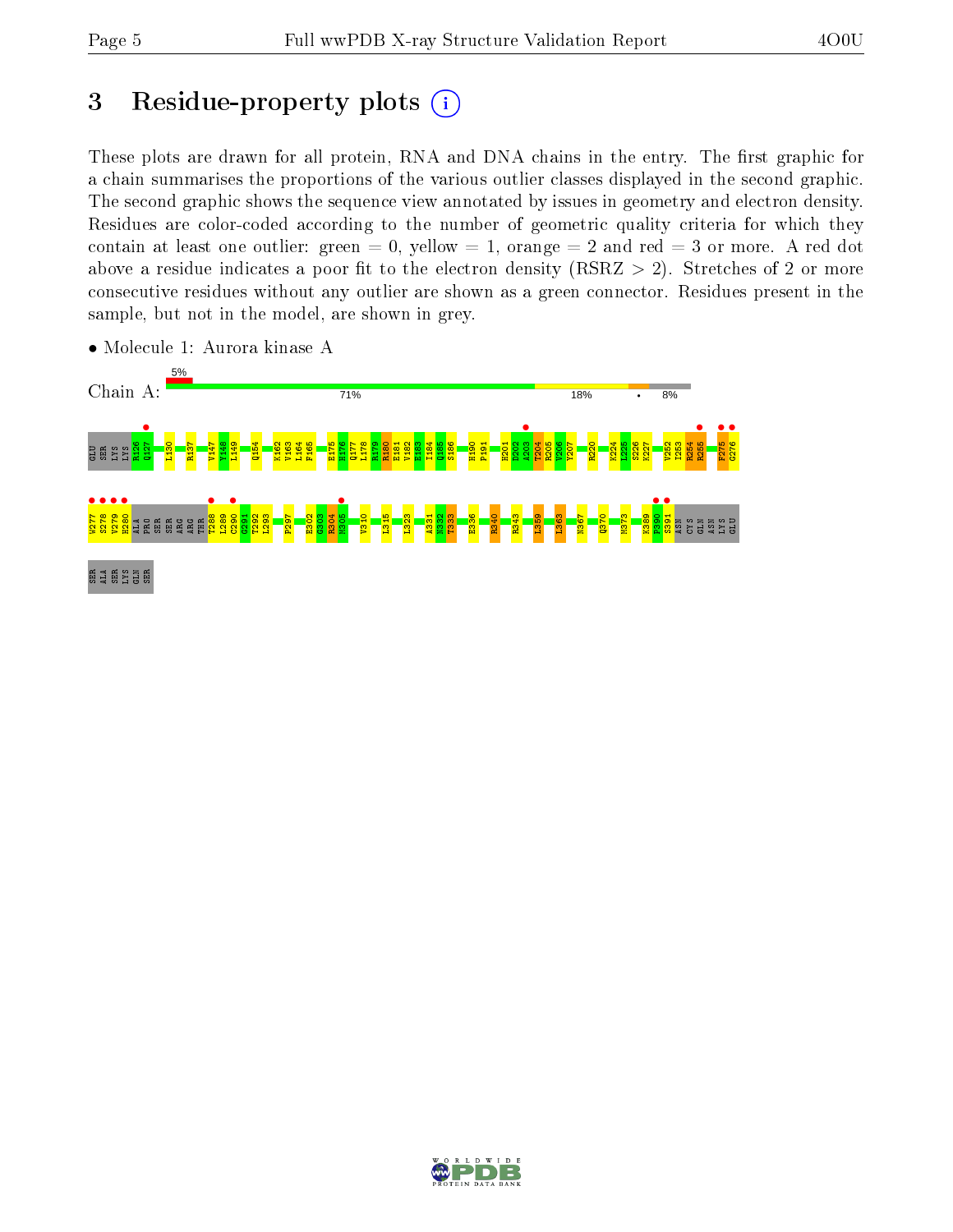# 3 Residue-property plots  $(i)$

These plots are drawn for all protein, RNA and DNA chains in the entry. The first graphic for a chain summarises the proportions of the various outlier classes displayed in the second graphic. The second graphic shows the sequence view annotated by issues in geometry and electron density. Residues are color-coded according to the number of geometric quality criteria for which they contain at least one outlier: green  $= 0$ , yellow  $= 1$ , orange  $= 2$  and red  $= 3$  or more. A red dot above a residue indicates a poor fit to the electron density (RSRZ  $> 2$ ). Stretches of 2 or more consecutive residues without any outlier are shown as a green connector. Residues present in the sample, but not in the model, are shown in grey.



• Molecule 1: Aurora kinase A

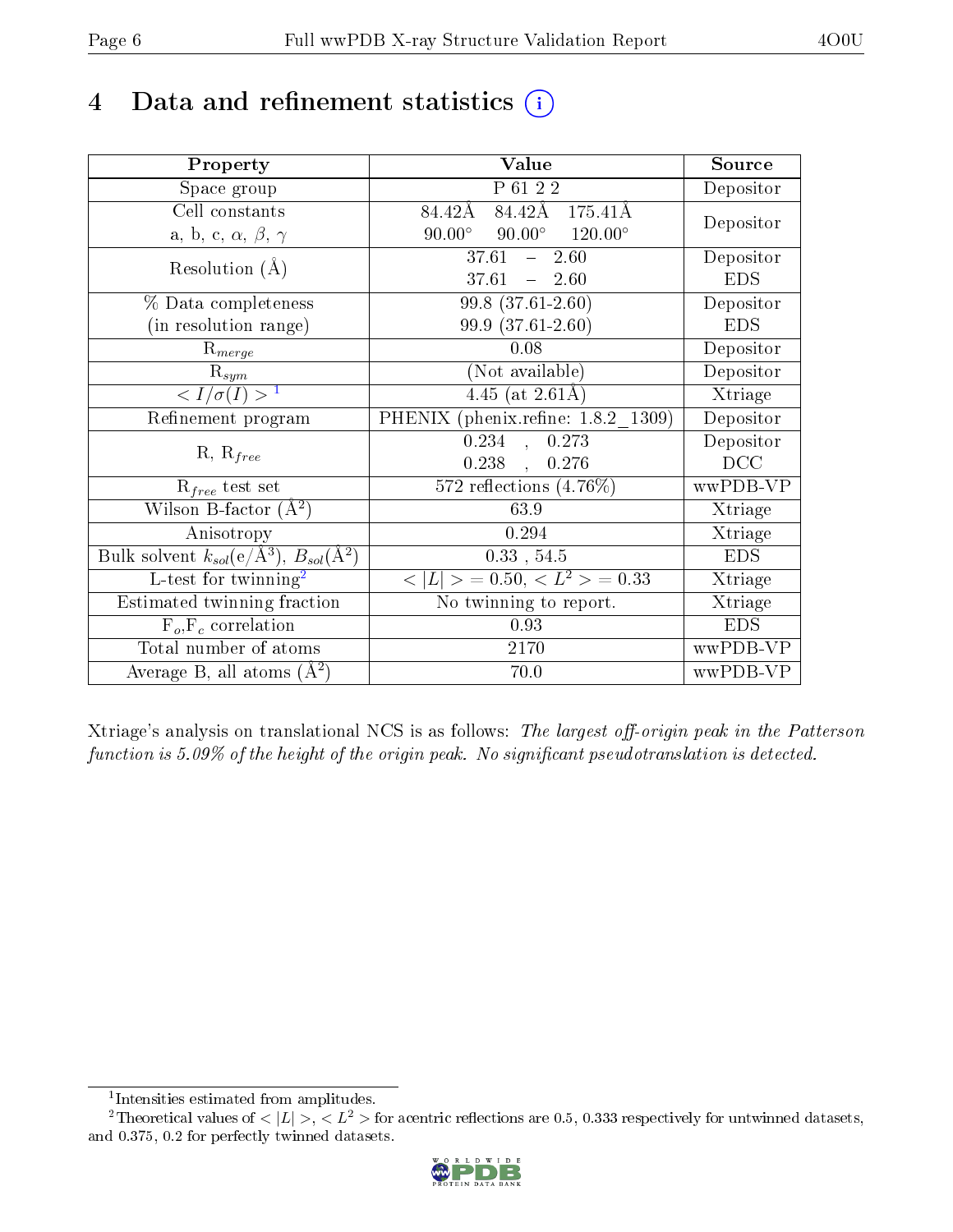## 4 Data and refinement statistics  $(i)$

| Property                                                   | Value                                                    | Source                  |
|------------------------------------------------------------|----------------------------------------------------------|-------------------------|
| Space group                                                | $\overline{P_6122}$                                      | $\overline{D}$ epositor |
| Cell constants                                             | 84.42Å<br>84.42Å<br>175.41Å                              |                         |
| a, b, c, $\alpha$ , $\beta$ , $\gamma$                     | $90.00^\circ$<br>$90.00^\circ$<br>$120.00^{\circ}$       | Depositor               |
| Resolution $(A)$                                           | 37.61<br>$-2.60$                                         | Depositor               |
|                                                            | $37.61 - 2.60$                                           | <b>EDS</b>              |
| % Data completeness                                        | 99.8 (37.61-2.60)                                        | Depositor               |
| (in resolution range)                                      | 99.9 (37.61-2.60)                                        | <b>EDS</b>              |
| $R_{merge}$                                                | 0.08                                                     | Depositor               |
| $\overline{\mathrm{R}}_{sym}$                              | (Not available)                                          | Depositor               |
| $\overline{1$                                              | $4.45$ (at 2.61Å)                                        | Xtriage                 |
| Refinement program                                         | PHENIX (phenix.refine: 1.8.2 1309)                       | Depositor               |
|                                                            | $\overline{0.234}$ ,<br>0.273                            | Depositor               |
| $R, R_{free}$                                              | 0.238,<br>0.276                                          | DCC                     |
| $R_{free}$ test set                                        | $572$ reflections $(4.76\%)$                             | wwPDB-VP                |
| Wilson B-factor $(A^2)$                                    | 63.9                                                     | Xtriage                 |
| Anisotropy                                                 | 0.294                                                    | Xtriage                 |
| Bulk solvent $k_{sol}$ (e/Å <sup>3</sup> ), $B_{sol}(A^2)$ | $0.33$ , $54.5$                                          | <b>EDS</b>              |
| $L$ -test for twinning <sup>2</sup>                        | $\langle  L  \rangle = 0.50, \langle L^2 \rangle = 0.33$ | Xtriage                 |
| Estimated twinning fraction                                | No twinning to report.                                   | Xtriage                 |
| $F_o, F_c$ correlation                                     | 0.93                                                     | <b>EDS</b>              |
| Total number of atoms                                      | 2170                                                     | wwPDB-VP                |
| Average B, all atoms $(A^2)$                               | 70.0                                                     | wwPDB-VP                |

Xtriage's analysis on translational NCS is as follows: The largest off-origin peak in the Patterson function is  $5.09\%$  of the height of the origin peak. No significant pseudotranslation is detected.

<sup>&</sup>lt;sup>2</sup>Theoretical values of  $\langle |L| \rangle$ ,  $\langle L^2 \rangle$  for acentric reflections are 0.5, 0.333 respectively for untwinned datasets, and 0.375, 0.2 for perfectly twinned datasets.



<span id="page-5-1"></span><span id="page-5-0"></span><sup>1</sup> Intensities estimated from amplitudes.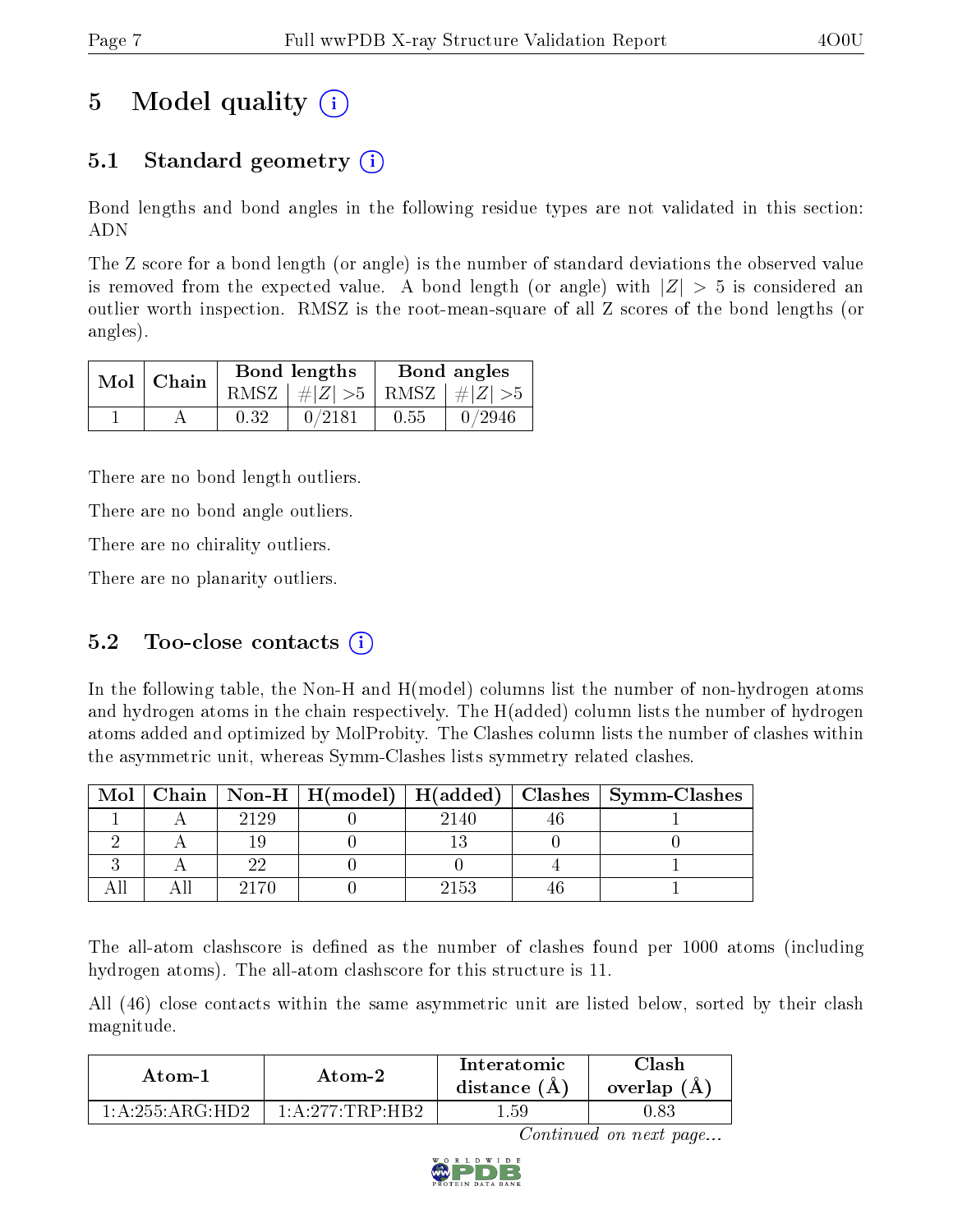# 5 Model quality  $(i)$

## 5.1 Standard geometry  $\overline{()}$

Bond lengths and bond angles in the following residue types are not validated in this section: ADN

The Z score for a bond length (or angle) is the number of standard deviations the observed value is removed from the expected value. A bond length (or angle) with  $|Z| > 5$  is considered an outlier worth inspection. RMSZ is the root-mean-square of all Z scores of the bond lengths (or angles).

|               |      | Bond lengths                    | Bond angles |        |  |
|---------------|------|---------------------------------|-------------|--------|--|
| $Mol$   Chain |      | RMSZ $ #Z  > 5$ RMSZ $ #Z  > 5$ |             |        |  |
|               | 0.32 | 0/2181                          | 0.55        | 0/2946 |  |

There are no bond length outliers.

There are no bond angle outliers.

There are no chirality outliers.

There are no planarity outliers.

### 5.2 Too-close contacts  $(i)$

In the following table, the Non-H and H(model) columns list the number of non-hydrogen atoms and hydrogen atoms in the chain respectively. The H(added) column lists the number of hydrogen atoms added and optimized by MolProbity. The Clashes column lists the number of clashes within the asymmetric unit, whereas Symm-Clashes lists symmetry related clashes.

| Mol |      |      | Chain   Non-H   H(model)   H(added)   Clashes   Symm-Clashes |
|-----|------|------|--------------------------------------------------------------|
|     | 2129 | 2140 |                                                              |
|     |      |      |                                                              |
|     |      |      |                                                              |
|     |      | 2153 |                                                              |

The all-atom clashscore is defined as the number of clashes found per 1000 atoms (including hydrogen atoms). The all-atom clashscore for this structure is 11.

All (46) close contacts within the same asymmetric unit are listed below, sorted by their clash magnitude.

| Atom-1              | Atom-2                                                 | Interatomic<br>distance $(A)$ | <b>Clash</b><br>overlap $(A)$ |  |
|---------------------|--------------------------------------------------------|-------------------------------|-------------------------------|--|
| $1:$ A:255: ARG HD2 | $1 \cdot 4 \cdot 277 \cdot \text{TRP} \cdot \text{HR}$ | . .59                         | , 83                          |  |

Continued on next page...

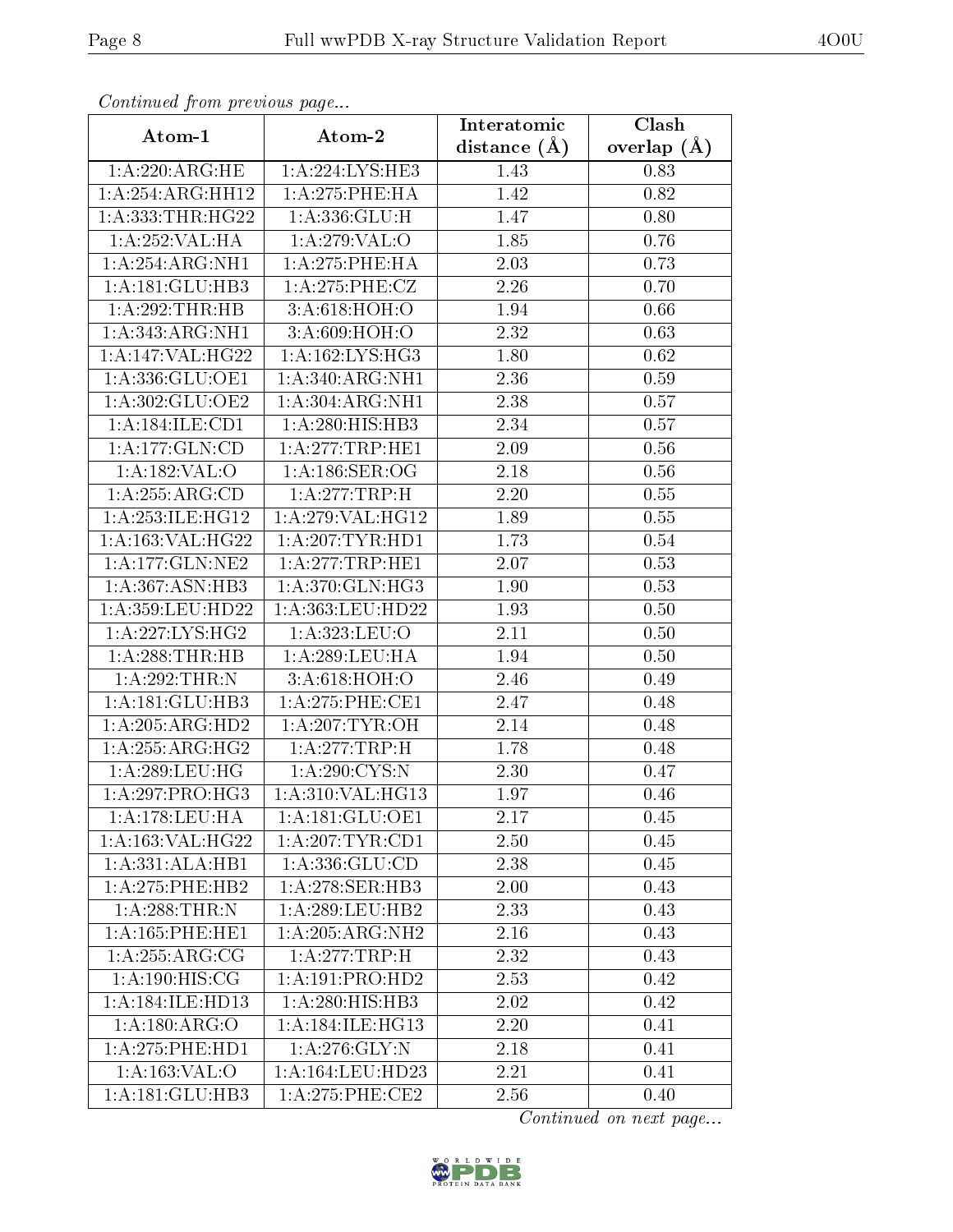| Continuata from previous page |                               | Interatomic    | Clash           |
|-------------------------------|-------------------------------|----------------|-----------------|
| Atom-1                        | Atom-2                        | distance $(A)$ | overlap $(\AA)$ |
| 1: A:220:ARG:HE               | 1:A:224:LYS:HE3               | 1.43           | 0.83            |
| 1:A:254:ARG:HH12              | 1: A:275:PHE:HA               | 1.42           | 0.82            |
| 1: A: 333: THR: HG22          | 1: A: 336: GLU: H             | 1.47           | 0.80            |
| $1:A:252:VAL: \overline{HA}$  | 1:A:279:VAL:O                 | 1.85           | 0.76            |
| 1:A:254:ARG:NH1               | $1: A:275:$ PHE:HA            | 2.03           | 0.73            |
| 1:A:181:GLU:HB3               | 1:A:275:PHE:CZ                | 2.26           | 0.70            |
| 1:A:292:THR:HB                | 3:A:618:HOH:O                 | 1.94           | 0.66            |
| 1:A:343:ARG:NH1               | 3:A:609:HOH:O                 | 2.32           | 0.63            |
| 1:A:147:VAL:HG22              | 1: A: 162: LYS: HG3           | 1.80           | 0.62            |
| 1:A:336:GLU:OE1               | 1: A:340:ARG:NH1              | 2.36           | 0.59            |
| 1:A:302:GLU:OE2               | 1: A:304: ARG: NH1            | 2.38           | 0.57            |
| 1:A:184:ILE:CD1               | 1:A:280:HIS:HB3               | 2.34           | 0.57            |
| 1:A:177:GLN:CD                | 1: A:277:TRP:HE1              | 2.09           | 0.56            |
| 1:A:182:VAL:O                 | 1: A:186: SER:OG              | 2.18           | 0.56            |
| 1:A:255:ARG:CD                | 1:A:277:TRP:H                 | 2.20           | 0.55            |
| 1: A:253: ILE: HG12           | 1:A:279:VAL:HG12              | 1.89           | 0.55            |
| 1:A:163:VAL:HG22              | 1:A:207:TYR:HDI               | 1.73           | 0.54            |
| 1: A: 177: GLN: NE2           | 1:A:277:TRP:HE1               | 2.07           | 0.53            |
| 1:A:367:ASN:HB3               | 1: A:370: GLN: HG3            | 1.90           | 0.53            |
| 1: A:359:LEU:HD22             | 1: A: 363: LEU: HD22          | 1.93           | 0.50            |
| 1: A: 227: LYS: HG2           | 1:A:323:LEU:O                 | 2.11           | 0.50            |
| 1:A:288:THR:HB                | 1: A:289:LEU:HA               | 1.94           | 0.50            |
| 1:A:292:THR:N                 | 3:A:618:HOH:O                 | 2.46           | 0.49            |
| 1:A:181:GLU:HB3               | 1: A:275:PHE:CE1              | 2.47           | 0.48            |
| 1:A:205:ARG:HD2               | 1: A:207:TYR:OH               | 2.14           | 0.48            |
| 1:A:255:ARG:HG2               | 1: A:277:TRP:H                | 1.78           | 0.48            |
| 1:A:289:LEU:HG                | 1: A:290:CYS:N                | 2.30           | 0.47            |
| 1: A:297: PRO:HG3             | 1: A:310:VAL:HG13             | 1.97           | 0.46            |
| 1: A:178:LEU:HA               | 1: A:181: GLU:OE1             | 2.17           | 0.45            |
| 1:A:163:VAL:HG22              | 1:A:207:TYR:CD1               | 2.50           | 0.45            |
| 1:A:331:ALA:HB1               | 1:A:336:GLU:CD                | 2.38           | 0.45            |
| 1: A: 275: PHE: HB2           | 1: A:278: SER:HB3             | 2.00           | 0.43            |
| 1:A:288:THR:N                 | 1: A:289:LEU:HB2              | 2.33           | 0.43            |
| 1:A:165:PHE:HE1               | 1: A:205: ARG:NH2             | 2.16           | 0.43            |
| 1:A:255:ARG:CG                | 1:A:277:TRP:H                 | 2.32           | 0.43            |
| 1: A: 190: HIS: CG            | 1:A:191:PRO:HD2               | 2.53           | 0.42            |
| 1:A:184:ILE:HD13              | 1:A:280:HIS:HB3               | 2.02           | 0.42            |
| 1: A: 180: ARG: O             | $1:A:184:I\overline{LE:HG13}$ | 2.20           | 0.41            |
| 1: A:275: PHE: HD1            | 1: A:276: GLY:N               | 2.18           | 0.41            |
| 1: A: 163: VAL: O             | 1: A: 164: LEU: HD23          | 2.21           | 0.41            |
| 1: A:181: GLU:HB3             | 1: A:275:PHE:CE2              | 2.56           | 0.40            |

Continued from previous page.

Continued on next page...

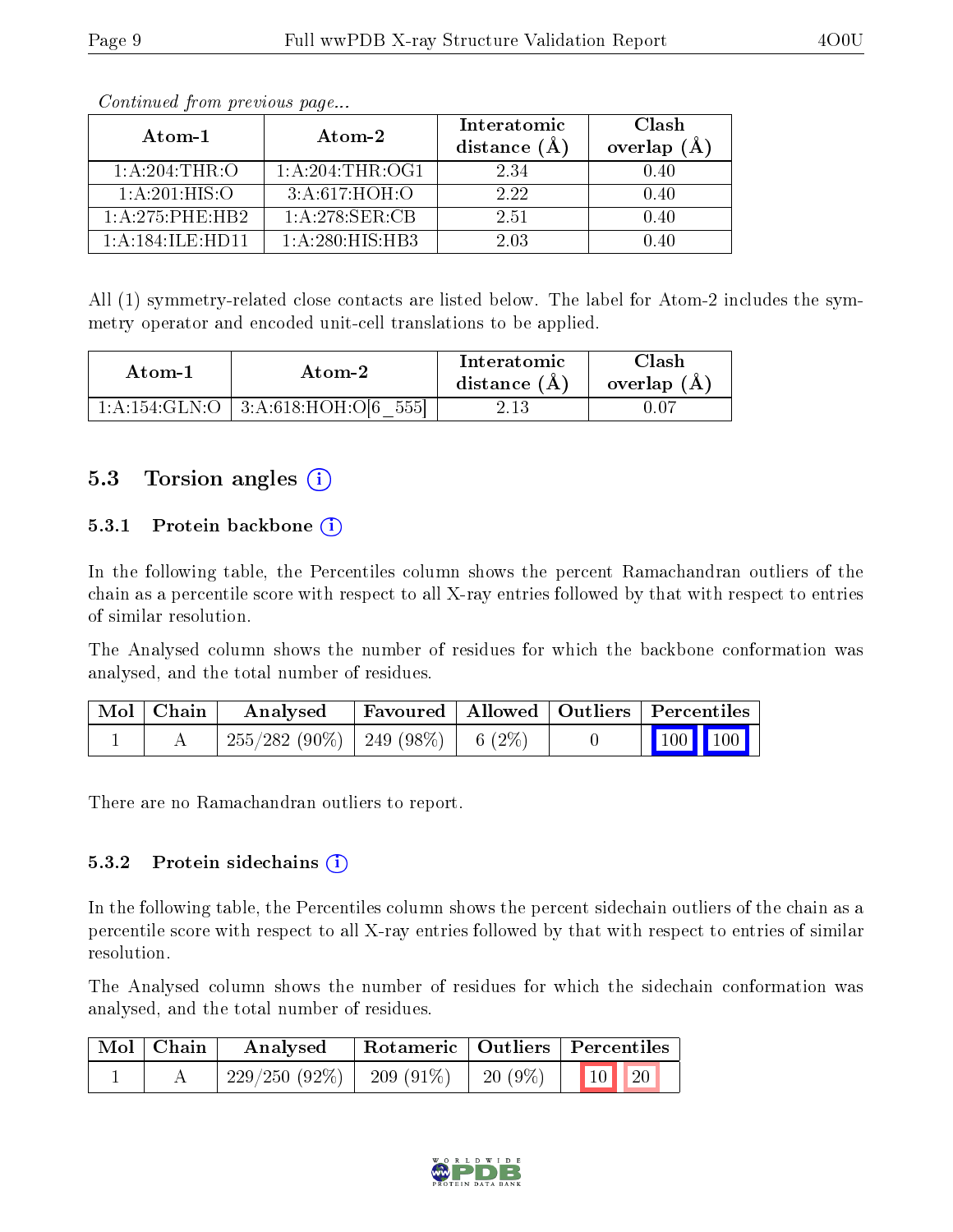| Atom-1              | Atom-2             | Interatomic<br>distance $(A)$ | Clash<br>overlap<br>(A) |
|---------------------|--------------------|-------------------------------|-------------------------|
| 1: A:204:THR:O      | 1: A:204:THR:OG1   | 2.34                          | 0.40                    |
| 1:A:201:HIS:O       | 3:A:617:HOH:O      | 2.22                          | 0.40                    |
| 1: A: 275: PHE: HR2 | $1: A:278:$ SER:CB | 2.51                          | 0.40                    |
| 1: A:184: ILE: HDI1 | 1: A:280: HIS: HB3 | 2 03                          | 140                     |

Continued from previous page...

All (1) symmetry-related close contacts are listed below. The label for Atom-2 includes the symmetry operator and encoded unit-cell translations to be applied.

| Atom-1 | Atom-2                                   | Interatomic<br>distance $(A)$ | Clash<br>overlap (A) |
|--------|------------------------------------------|-------------------------------|----------------------|
|        | $1:A:154:GLN:O$   $3:A:618:HOH:O[6 555]$ | 2.13                          |                      |

#### 5.3 Torsion angles (i)

#### 5.3.1 Protein backbone (i)

In the following table, the Percentiles column shows the percent Ramachandran outliers of the chain as a percentile score with respect to all X-ray entries followed by that with respect to entries of similar resolution.

The Analysed column shows the number of residues for which the backbone conformation was analysed, and the total number of residues.

| Mol Chain | Analysed                               | Favoured   Allowed   Outliers   Percentiles |  |                                                            |  |
|-----------|----------------------------------------|---------------------------------------------|--|------------------------------------------------------------|--|
|           | $255/282(90\%)$   249 (98\%)   6 (2\%) |                                             |  | $\begin{array}{ c c c c }\n\hline\n100 & 100\n\end{array}$ |  |

There are no Ramachandran outliers to report.

#### 5.3.2 Protein sidechains  $(i)$

In the following table, the Percentiles column shows the percent sidechain outliers of the chain as a percentile score with respect to all X-ray entries followed by that with respect to entries of similar resolution.

The Analysed column shows the number of residues for which the sidechain conformation was analysed, and the total number of residues.

| $\mid$ Mol $\mid$ Chain | Analysed        |              |          | Rotameric   Outliers   Percentiles |  |  |
|-------------------------|-----------------|--------------|----------|------------------------------------|--|--|
|                         | $229/250(92\%)$ | $-209(91\%)$ | 20 (9\%) | $10$   20                          |  |  |

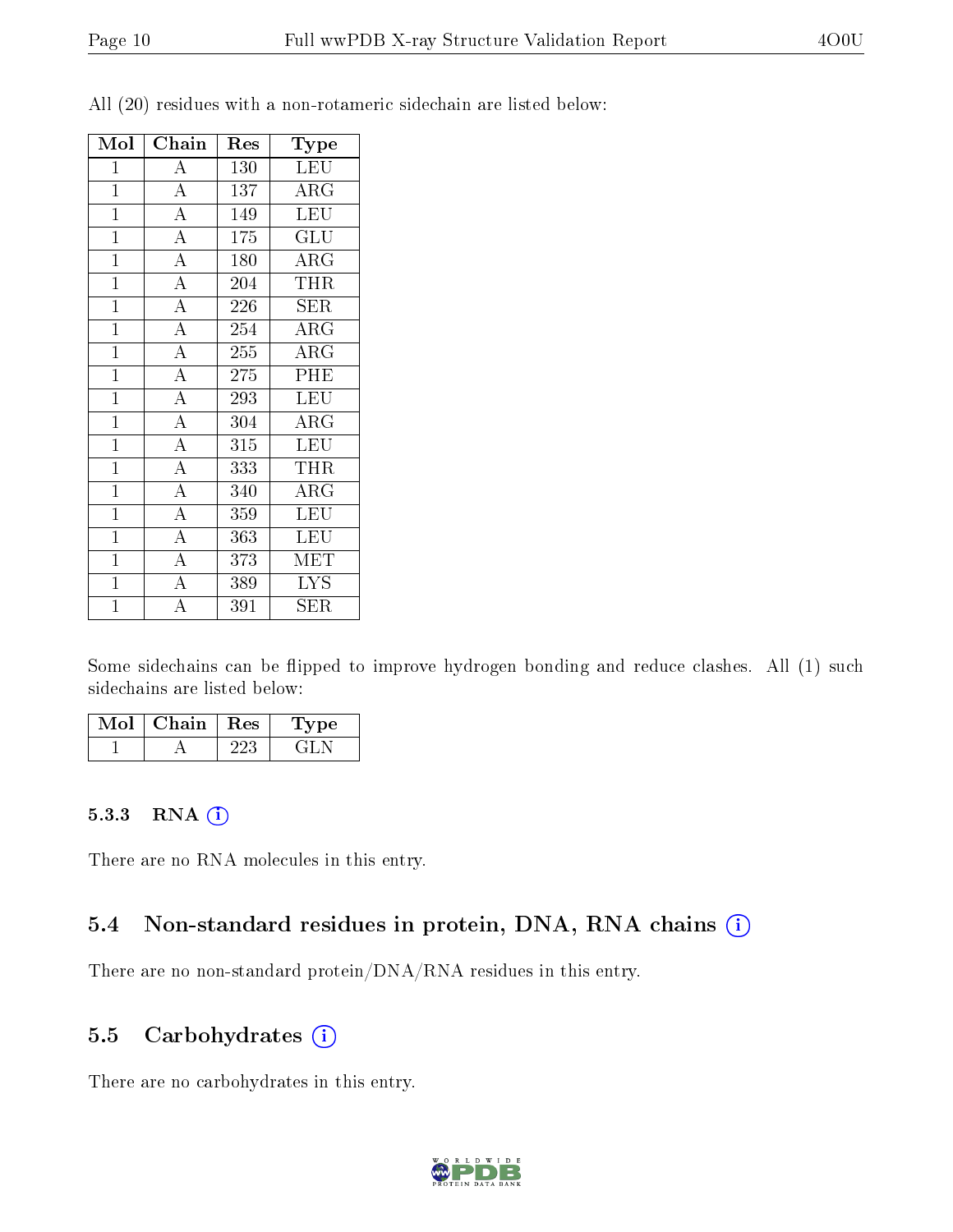| Mol            | Chain              | $\operatorname{Res}% \left( \mathcal{N}\right) \equiv\operatorname{Res}(\mathcal{N}_{0})\left( \mathcal{N}_{0}\right) ^{2}$ | Type                    |
|----------------|--------------------|-----------------------------------------------------------------------------------------------------------------------------|-------------------------|
| $\mathbf 1$    | $\overline{A}$     | 130                                                                                                                         | <b>LEU</b>              |
| $\mathbf{1}$   | $\overline{A}$     | 137                                                                                                                         | $\rm{ARG}$              |
| $\overline{1}$ | $\overline{A}$     | 149                                                                                                                         | LEU                     |
| $\mathbf{1}$   | $\overline{A}$     | 175                                                                                                                         | <b>GLU</b>              |
| $\mathbf{1}$   | $\overline{A}$     | 180                                                                                                                         | $\rm{ARG}$              |
| $\overline{1}$ | $\overline{A}$     | 204                                                                                                                         | THR                     |
| $\mathbf{1}$   | $\overline{A}$     | 226                                                                                                                         | <b>SER</b>              |
| $\overline{1}$ | $\overline{A}$     | 254                                                                                                                         | $\overline{\text{ARG}}$ |
| $\mathbf{1}$   | $\overline{A}$     | 255                                                                                                                         | $\rm{ARG}$              |
| $\overline{1}$ | $\overline{A}$     | 275                                                                                                                         | PHE                     |
| $\mathbf{1}$   | $\overline{\rm A}$ | 293                                                                                                                         | <b>LEU</b>              |
| $\mathbf{1}$   | $\overline{A}$     | 304                                                                                                                         | $\rm{ARG}$              |
| $\overline{1}$ | $\overline{A}$     | 315                                                                                                                         | $\overline{\text{LEU}}$ |
| $\mathbf{1}$   | $\overline{A}$     | 333                                                                                                                         | THR                     |
| $\overline{1}$ | $\overline{A}$     | 340                                                                                                                         | $\rm{ARG}$              |
| $\overline{1}$ | $\overline{\rm A}$ | 359                                                                                                                         | <b>LEU</b>              |
| $\overline{1}$ | $\overline{\rm A}$ | 363                                                                                                                         | LEU                     |
| $\mathbf{1}$   | $\overline{A}$     | 373                                                                                                                         | MET                     |
| $\mathbf{1}$   | $\overline{A}$     | 389                                                                                                                         | <b>LYS</b>              |
| $\overline{1}$ | $\overline{\rm A}$ | 391                                                                                                                         | SER                     |

All (20) residues with a non-rotameric sidechain are listed below:

Some sidechains can be flipped to improve hydrogen bonding and reduce clashes. All (1) such sidechains are listed below:

| Mol | Chain | Res | vpe |
|-----|-------|-----|-----|
|     |       | າາາ |     |

#### 5.3.3 RNA (i)

There are no RNA molecules in this entry.

#### 5.4 Non-standard residues in protein, DNA, RNA chains (i)

There are no non-standard protein/DNA/RNA residues in this entry.

#### 5.5 Carbohydrates  $(i)$

There are no carbohydrates in this entry.

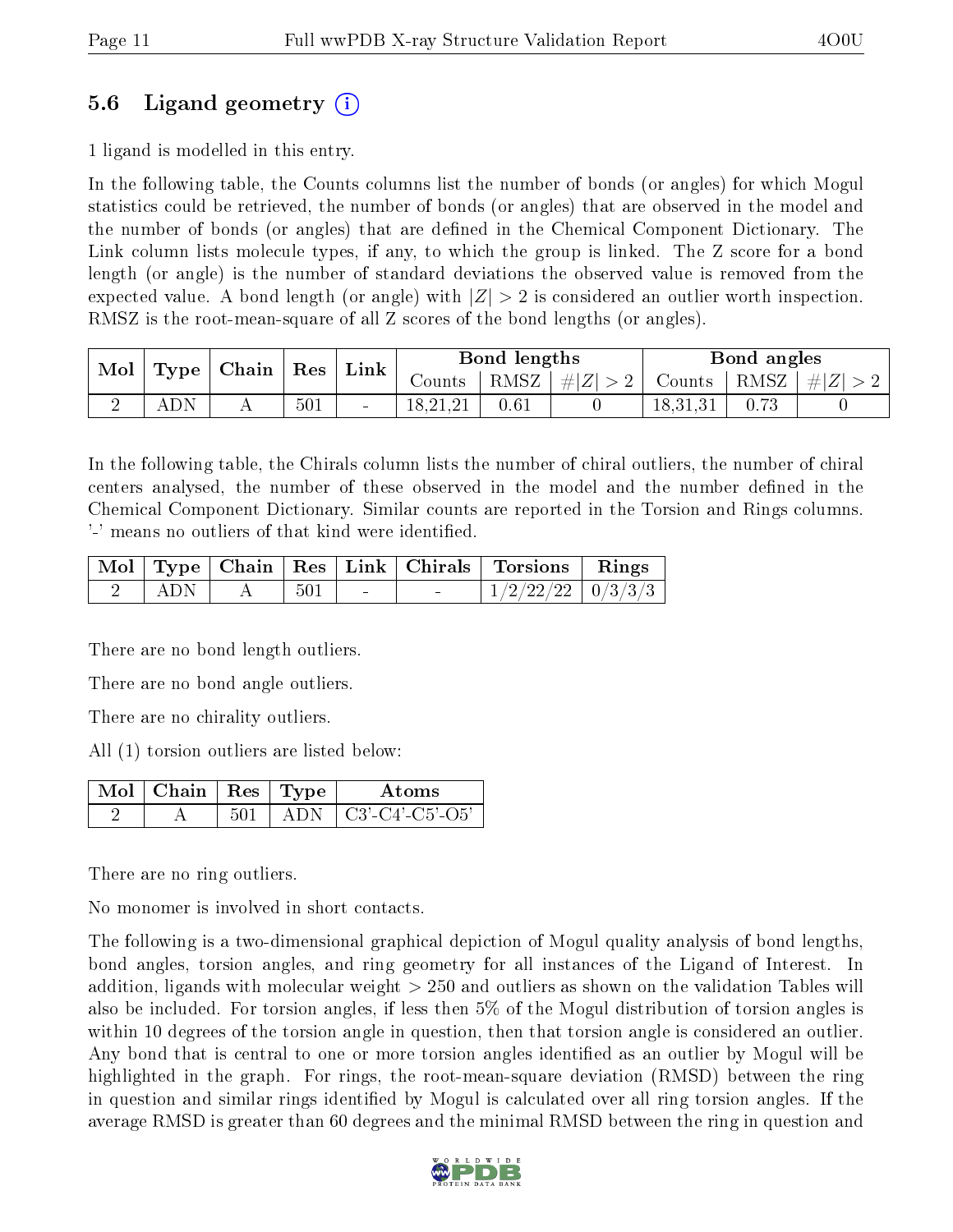### 5.6 Ligand geometry (i)

1 ligand is modelled in this entry.

In the following table, the Counts columns list the number of bonds (or angles) for which Mogul statistics could be retrieved, the number of bonds (or angles) that are observed in the model and the number of bonds (or angles) that are dened in the Chemical Component Dictionary. The Link column lists molecule types, if any, to which the group is linked. The Z score for a bond length (or angle) is the number of standard deviations the observed value is removed from the expected value. A bond length (or angle) with  $|Z| > 2$  is considered an outlier worth inspection. RMSZ is the root-mean-square of all Z scores of the bond lengths (or angles).

| $^{\mathrm{+}}$ Mol $_{\mathrm{+}}$ |     | $\mid$ Type   Chain   Res |     | $\vert$ Link |          | Bond lengths |                                                                               |          | Bond angles |  |
|-------------------------------------|-----|---------------------------|-----|--------------|----------|--------------|-------------------------------------------------------------------------------|----------|-------------|--|
|                                     |     |                           |     |              |          |              | Counts $\vert$ RMSZ $\vert \#  Z  > 2$ Counts $\vert$ RMSZ $\vert \#  Z  > 2$ |          |             |  |
|                                     | ADN |                           | 501 |              | 18,21,21 | 0.61         |                                                                               | 18,31,31 | 0.73        |  |

In the following table, the Chirals column lists the number of chiral outliers, the number of chiral centers analysed, the number of these observed in the model and the number defined in the Chemical Component Dictionary. Similar counts are reported in the Torsion and Rings columns. '-' means no outliers of that kind were identified.

|         |     |                          | Mol   Type   Chain   Res   Link   Chirals   Torsions   Rings |  |
|---------|-----|--------------------------|--------------------------------------------------------------|--|
| ' ADN - | 501 | <b>Contract Contract</b> | $1/2/22/22$ 0/3/3/3                                          |  |

There are no bond length outliers.

There are no bond angle outliers.

There are no chirality outliers.

All (1) torsion outliers are listed below:

| Mol $\vert$ Chain $\vert$ Res $\vert$ Type |      | Atoms                 |
|--------------------------------------------|------|-----------------------|
|                                            | ADN. | $\pm$ C3'-C4'-C5'-O5' |

There are no ring outliers.

No monomer is involved in short contacts.

The following is a two-dimensional graphical depiction of Mogul quality analysis of bond lengths, bond angles, torsion angles, and ring geometry for all instances of the Ligand of Interest. In addition, ligands with molecular weight > 250 and outliers as shown on the validation Tables will also be included. For torsion angles, if less then 5% of the Mogul distribution of torsion angles is within 10 degrees of the torsion angle in question, then that torsion angle is considered an outlier. Any bond that is central to one or more torsion angles identified as an outlier by Mogul will be highlighted in the graph. For rings, the root-mean-square deviation (RMSD) between the ring in question and similar rings identified by Mogul is calculated over all ring torsion angles. If the average RMSD is greater than 60 degrees and the minimal RMSD between the ring in question and

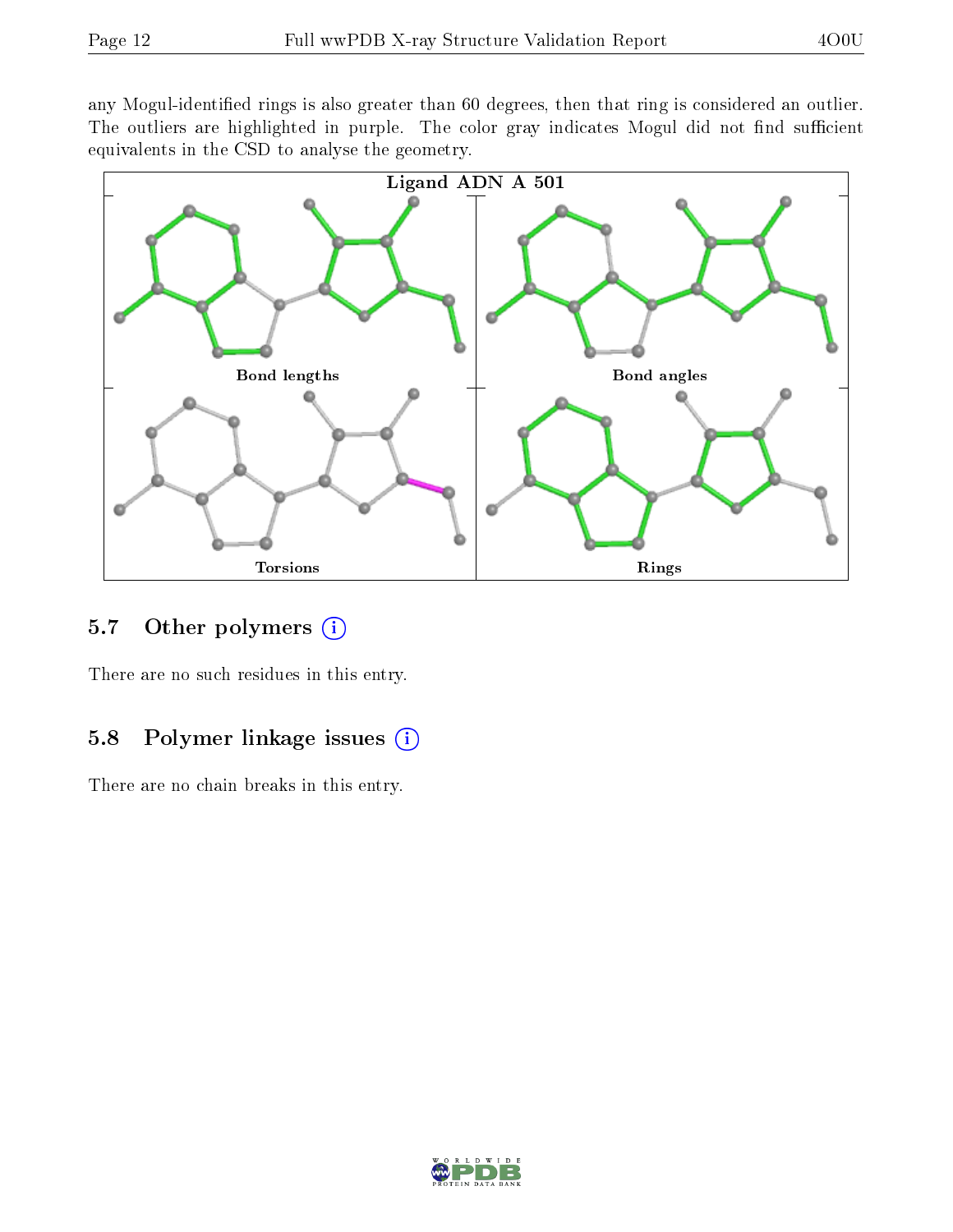any Mogul-identified rings is also greater than 60 degrees, then that ring is considered an outlier. The outliers are highlighted in purple. The color gray indicates Mogul did not find sufficient equivalents in the CSD to analyse the geometry.



### 5.7 [O](https://www.wwpdb.org/validation/2017/XrayValidationReportHelp#nonstandard_residues_and_ligands)ther polymers  $(i)$

There are no such residues in this entry.

### 5.8 Polymer linkage issues (i)

There are no chain breaks in this entry.

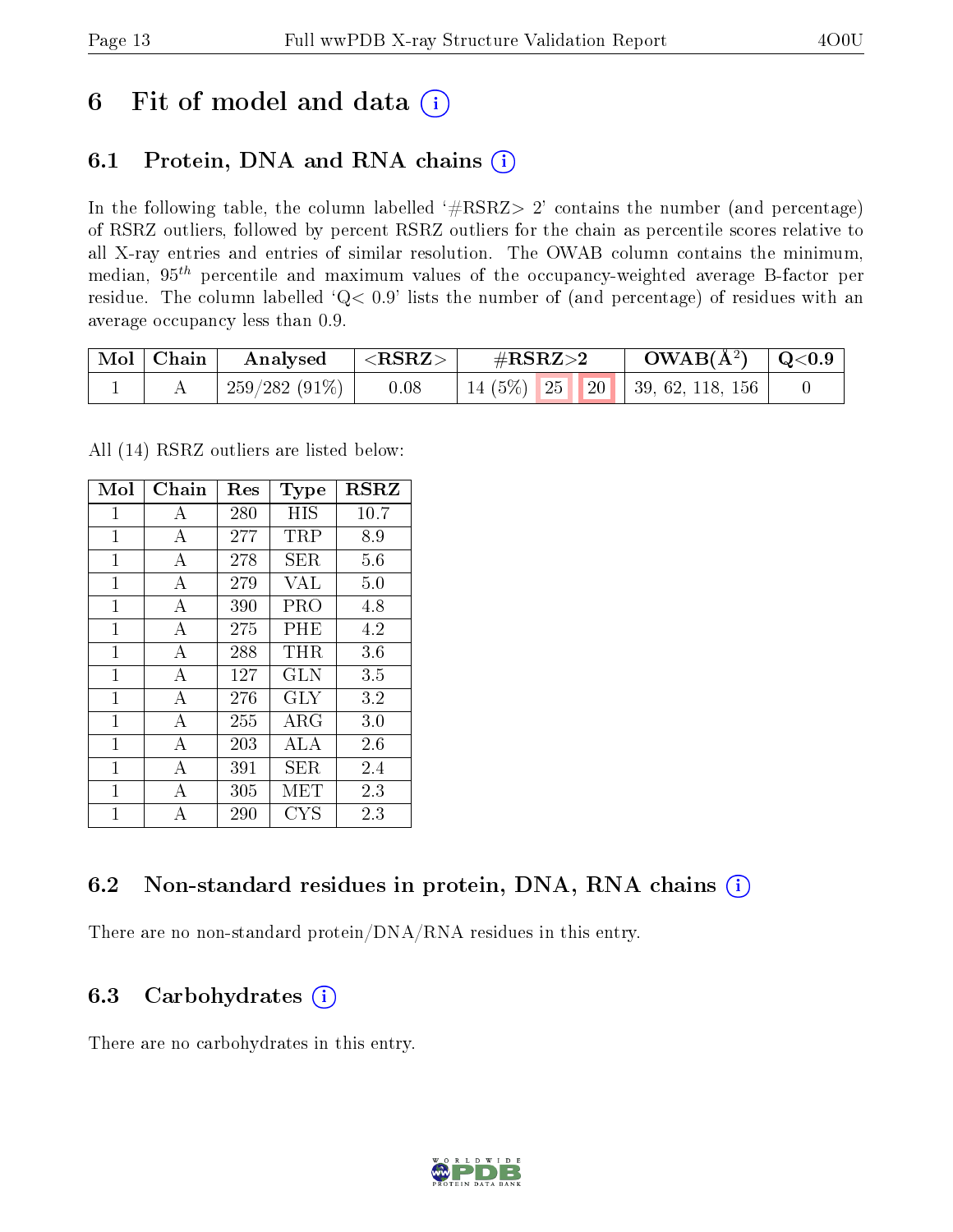## 6 Fit of model and data  $(i)$

## 6.1 Protein, DNA and RNA chains  $(i)$

In the following table, the column labelled  $#RSRZ> 2'$  contains the number (and percentage) of RSRZ outliers, followed by percent RSRZ outliers for the chain as percentile scores relative to all X-ray entries and entries of similar resolution. The OWAB column contains the minimum, median,  $95<sup>th</sup>$  percentile and maximum values of the occupancy-weighted average B-factor per residue. The column labelled ' $Q< 0.9$ ' lists the number of (and percentage) of residues with an average occupancy less than 0.9.

| $\text{Mol} \mid \text{Chain}$ | Analysed        | $<$ RSRZ $>$ | $\rm \#RSRZ{>}2$ | $\rm{OWAB}(\AA^2)$ $\vert$ Q<0.9 $\vert$ |  |
|--------------------------------|-----------------|--------------|------------------|------------------------------------------|--|
|                                | $259/282(91\%)$ | 0.08         |                  | $14(5\%)$ 25 20 39, 62, 118, 156         |  |

All (14) RSRZ outliers are listed below:

| Mol            | $Chain$        | $\operatorname{Res}% \left( \mathcal{N}\right) \equiv\operatorname{Res}(\mathcal{N}_{0})\cap\mathcal{N}_{1}$<br><b>Type</b> |            | $_{\rm RSRZ}$ |
|----------------|----------------|-----------------------------------------------------------------------------------------------------------------------------|------------|---------------|
| $\mathbf{1}$   | A              | 280                                                                                                                         | HIS        | 10.7          |
| 1              | $\overline{A}$ | 277                                                                                                                         | TRP        | 8.9           |
| $\mathbf{1}$   | A              | 278                                                                                                                         | SER        | 5.6           |
| 1              | $\overline{A}$ | 279                                                                                                                         | VAL        | 5.0           |
| 1              | $\overline{A}$ | 390                                                                                                                         | PRO        | 4.8           |
| 1              | $\overline{A}$ | 275                                                                                                                         | PHE        | 4.2           |
| $\mathbf{1}$   | $\mathbf{A}$   | 288                                                                                                                         | THR.       | 3.6           |
| $\overline{1}$ | $\bf{A}$       | 127                                                                                                                         | <b>GLN</b> | 3.5           |
| $\mathbf{1}$   | $\mathbf{A}$   | 276                                                                                                                         | GLY        | 3.2           |
| $\mathbf{1}$   | $\overline{A}$ | 255                                                                                                                         | ARG        | 3.0           |
| $\mathbf{1}$   | А              | 203                                                                                                                         | ALA        | 2.6           |
| $\mathbf{1}$   | A              | 391                                                                                                                         | SER        | 2.4           |
| $\mathbf{1}$   | A              | 305                                                                                                                         | MET        | 2.3           |
| $\mathbf 1$    | А              | 290                                                                                                                         | <b>CYS</b> | 2.3           |

### 6.2 Non-standard residues in protein, DNA, RNA chains  $(i)$

There are no non-standard protein/DNA/RNA residues in this entry.

### 6.3 Carbohydrates (i)

There are no carbohydrates in this entry.